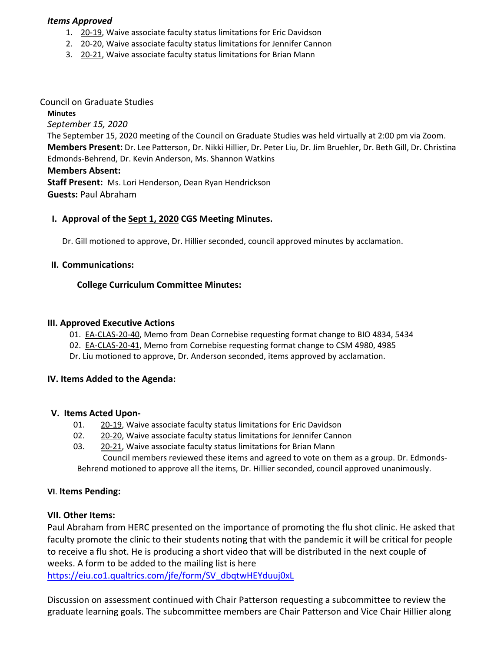### *Items Approved*

- 1. [20](https://castle.eiu.edu/eiucgs/currentagendaitems/agenda20-19.pdf)‐19, Waive associate faculty status limitations for Eric Davidson
- 2. 20‐[20,](https://castle.eiu.edu/eiucgs/currentagendaitems/agenda20-20.pdf) Waive associate faculty status limitations for Jennifer Cannon
- 3. 20‐[21,](https://castle.eiu.edu/eiucgs/currentagendaitems/agenda20-21.pdf) Waive associate faculty status limitations for Brian Mann

### Council on Graduate Studies

**Minutes** *September 15, 2020* The September 15, 2020 meeting of the Council on Graduate Studies was held virtually at 2:00 pm via Zoom. **Members Present:** Dr. Lee Patterson, Dr. Nikki Hillier, Dr. Peter Liu, Dr. Jim Bruehler, Dr. Beth Gill, Dr. Christina Edmonds‐Behrend, Dr. Kevin Anderson, Ms. Shannon Watkins **Members Absent:**

**Staff Present:** Ms. Lori Henderson, Dean Ryan Hendrickson **Guests:** Paul Abraham

# **I. Approval of the Sept 1, [2020](https://castle.eiu.edu/~eiucgs/currentminutes/Minutes9-1-20.pdf) CGS Meeting Minutes.**

Dr. Gill motioned to approve, Dr. Hillier seconded, council approved minutes by acclamation.

## **II. Communications:**

## **College Curriculum Committee Minutes:**

### **III. Approved Executive Actions**

- 01. EA-[CLAS](https://castle.eiu.edu/eiucgs/exec-actions/EA-CLAS-20-40.pdf)-20-40, Memo from Dean Cornebise requesting format change to BIO 4834, 5434
- 02. EA-[CLAS](https://castle.eiu.edu/eiucgs/exec-actions/EA-CLAS-20-41.pdf)-20-41, Memo from Cornebise requesting format change to CSM 4980, 4985
- Dr. Liu motioned to approve, Dr. Anderson seconded, items approved by acclamation.

#### **IV. Items Added to the Agenda:**

#### **V. Items Acted Upon‐**

- 01. 20-[19,](https://castle.eiu.edu/eiucgs/currentagendaitems/agenda20-19.pdf) Waive associate faculty status limitations for Eric Davidson
- 02. 20-[20,](https://castle.eiu.edu/eiucgs/currentagendaitems/agenda20-20.pdf) Waive associate faculty status limitations for Jennifer Cannon
- 03. [20](https://castle.eiu.edu/eiucgs/currentagendaitems/agenda20-21.pdf)-21, Waive associate faculty status limitations for Brian Mann

Council members reviewed these items and agreed to vote on them as a group. Dr. Edmonds‐ Behrend motioned to approve all the items, Dr. Hillier seconded, council approved unanimously.

#### **VI**. **Items Pending:**

## **VII. Other Items:**

Paul Abraham from HERC presented on the importance of promoting the flu shot clinic. He asked that faculty promote the clinic to their students noting that with the pandemic it will be critical for people to receive a flu shot. He is producing a short video that will be distributed in the next couple of weeks. A form to be added to the mailing list is here

[https://eiu.co1.qualtrics.com/jfe/form/SV\\_dbqtwHEYduuj0xL](https://eiu.co1.qualtrics.com/jfe/form/SV_dbqtwHEYduuj0xl)

Discussion on assessment continued with Chair Patterson requesting a subcommittee to review the graduate learning goals. The subcommittee members are Chair Patterson and Vice Chair Hillier along